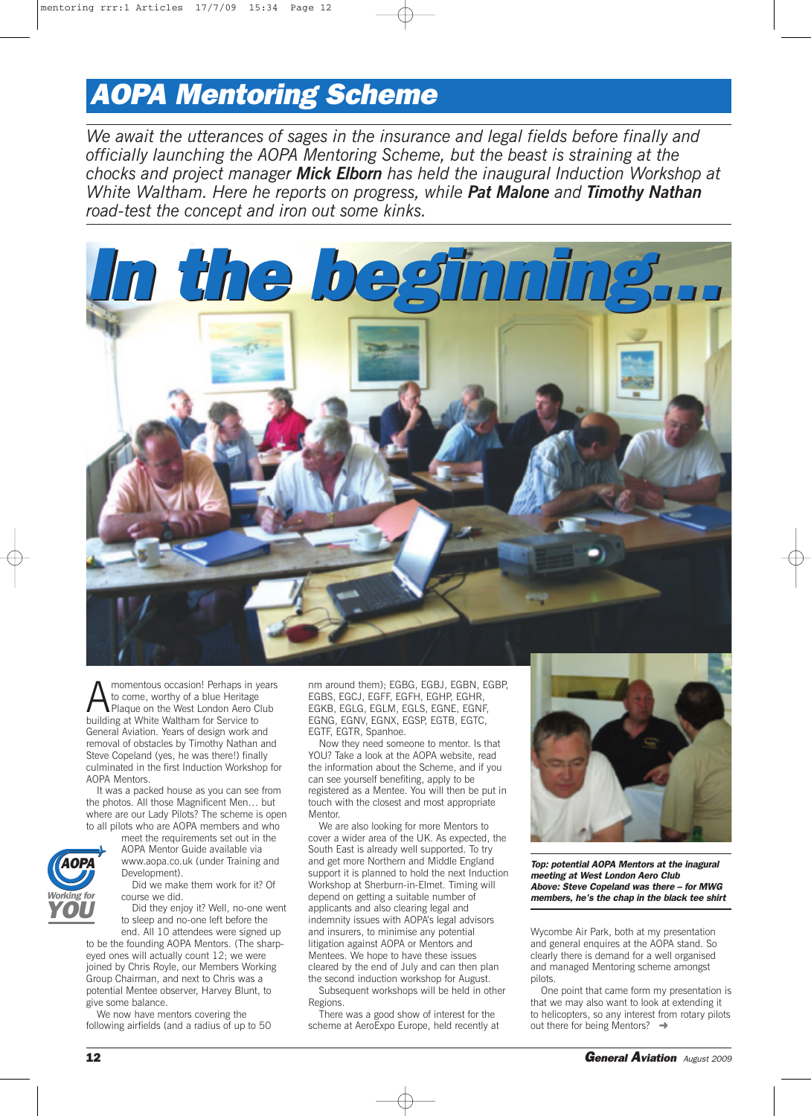## *AOPA Mentoring Scheme*

*We await the utterances of sages in the insurance and legal fields before finally and officially launching the AOPA Mentoring Scheme, but the beast is straining at the chocks and project manager Mick Elborn has held the inaugural Induction Workshop at White Waltham. Here he reports on progress, while Pat Malone and Timothy Nathan road-test the concept and iron out some kinks.*



**AMOM MOMENT MANUS CONSIDER 1989 MANUS CONSIDER**<br>Plaque on the West London Aero Club<br>building at White Waltham for Service to to come, worthy of a blue Heritage building at White Waltham for Service to General Aviation. Years of design work and removal of obstacles by Timothy Nathan and Steve Copeland (yes, he was there!) finally culminated in the first Induction Workshop for AOPA Mentors.

It was a packed house as you can see from the photos. All those Magnificent Men… but where are our Lady Pilots? The scheme is open to all pilots who are AOPA members and who

meet the requirements set out in the AOPA Mentor Guide available via www.aopa.co.uk (under Training and

Development). Did we make them work for it? Of

course we did.

Did they enjoy it? Well, no-one went to sleep and no-one left before the end. All 10 attendees were signed up

to be the founding AOPA Mentors. (The sharpeyed ones will actually count 12; we were joined by Chris Royle, our Members Working Group Chairman, and next to Chris was a potential Mentee observer, Harvey Blunt, to give some balance.

We now have mentors covering the following airfields (and a radius of up to 50 nm around them); EGBG, EGBJ, EGBN, EGBP, EGBS, EGCJ, EGFF, EGFH, EGHP, EGHR, EGKB, EGLG, EGLM, EGLS, EGNE, EGNF, EGNG, EGNV, EGNX, EGSP, EGTB, EGTC, EGTF, EGTR, Spanhoe.

Now they need someone to mentor. Is that YOU? Take a look at the AOPA website, read the information about the Scheme, and if you can see yourself benefiting, apply to be registered as a Mentee. You will then be put in touch with the closest and most appropriate Mentor.

We are also looking for more Mentors to cover a wider area of the UK. As expected, the South East is already well supported. To try and get more Northern and Middle England support it is planned to hold the next Induction Workshop at Sherburn-in-Elmet. Timing will depend on getting a suitable number of applicants and also clearing legal and indemnity issues with AOPA's legal advisors and insurers, to minimise any potential litigation against AOPA or Mentors and Mentees. We hope to have these issues cleared by the end of July and can then plan the second induction workshop for August. Subsequent workshops will be held in other

Regions. There was a good show of interest for the scheme at AeroExpo Europe, held recently at



*Top: potential AOPA Mentors at the inagural meeting at West London Aero Club Above: Steve Copeland was there – for MWG members, he's the chap in the black tee shirt* 

Wycombe Air Park, both at my presentation and general enquires at the AOPA stand. So clearly there is demand for a well organised and managed Mentoring scheme amongst pilots.

One point that came form my presentation is that we may also want to look at extending it to helicopters, so any interest from rotary pilots out there for being Mentors?  $\rightarrow$ 

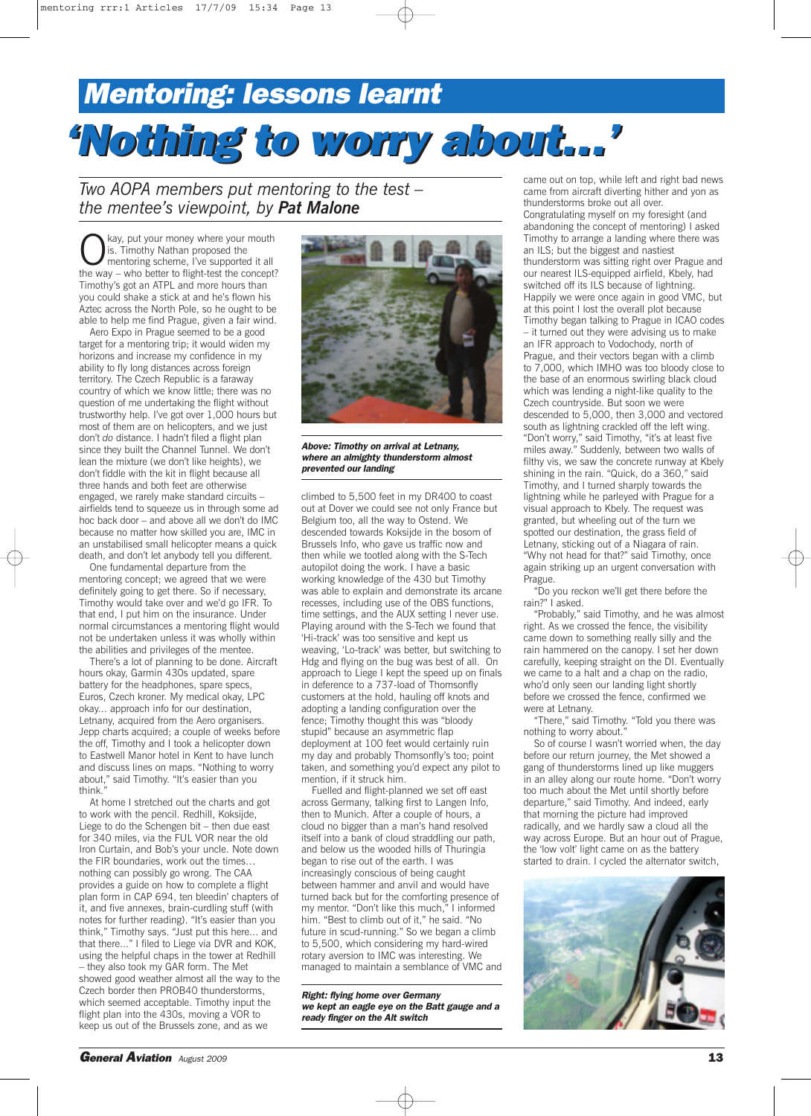## *Mentoring: lessons learnt 'Nothing 'Nothing to worry about…'*

*Two AOPA members put mentoring to the test – the mentee's viewpoint, by Pat Malone*

Kay, put your money where your mouth<br>is. Timothy Nathan proposed the<br>mentoring scheme, I've supported it all<br>the way, who better to flight test the concent is. Timothy Nathan proposed the the way – who better to flight-test the concept? Timothy's got an ATPL and more hours than you could shake a stick at and he's flown his Aztec across the North Pole, so he ought to be able to help me find Prague, given a fair wind.

Aero Expo in Prague seemed to be a good target for a mentoring trip; it would widen my horizons and increase my confidence in my ability to fly long distances across foreign territory. The Czech Republic is a faraway country of which we know little; there was no question of me undertaking the flight without trustworthy help. I've got over 1,000 hours but most of them are on helicopters, and we just don't *do* distance. I hadn't filed a flight plan since they built the Channel Tunnel. We don't lean the mixture (we don't like heights), we don't fiddle with the kit in flight because all three hands and both feet are otherwise engaged, we rarely make standard circuits – airfields tend to squeeze us in through some ad hoc back door – and above all we don't do IMC because no matter how skilled you are, IMC in an unstabilised small helicopter means a quick death, and don't let anybody tell you different.

One fundamental departure from the mentoring concept; we agreed that we were definitely going to get there. So if necessary, Timothy would take over and we'd go IFR. To that end, I put him on the insurance. Under normal circumstances a mentoring flight would not be undertaken unless it was wholly within the abilities and privileges of the mentee.

There's a lot of planning to be done. Aircraft hours okay, Garmin 430s updated, spare battery for the headphones, spare specs, Euros, Czech kroner. My medical okay, LPC okay... approach info for our destination, Letnany, acquired from the Aero organisers. Jepp charts acquired; a couple of weeks before the off, Timothy and I took a helicopter down to Eastwell Manor hotel in Kent to have lunch and discuss lines on maps. "Nothing to worry about," said Timothy. "It's easier than you think."

At home I stretched out the charts and got to work with the pencil. Redhill, Koksijde, Liege to do the Schengen bit – then due east for 340 miles, via the FUL VOR near the old Iron Curtain, and Bob's your uncle. Note down the FIR boundaries, work out the times… nothing can possibly go wrong. The CAA provides a guide on how to complete a flight plan form in CAP 694, ten bleedin' chapters of it, and five annexes, brain-curdling stuff (with notes for further reading). "It's easier than you think," Timothy says. "Just put this here... and that there..." I filed to Liege via DVR and KOK, using the helpful chaps in the tower at Redhill – they also took my GAR form. The Met showed good weather almost all the way to the Czech border then PROB40 thunderstorms, which seemed acceptable. Timothy input the flight plan into the 430s, moving a VOR to keep us out of the Brussels zone, and as we



*Above: Timothy on arrival at Letnany, where an almighty thunderstorm almost prevented our landing*

climbed to 5,500 feet in my DR400 to coast out at Dover we could see not only France but Belgium too, all the way to Ostend. We descended towards Koksijde in the bosom of Brussels Info, who gave us traffic now and then while we tootled along with the S-Tech autopilot doing the work. I have a basic working knowledge of the 430 but Timothy was able to explain and demonstrate its arcane recesses, including use of the OBS functions, time settings, and the AUX setting I never use. Playing around with the S-Tech we found that 'Hi-track' was too sensitive and kept us weaving, 'Lo-track' was better, but switching to Hdg and flying on the bug was best of all. On approach to Liege I kept the speed up on finals in deference to a 737-load of Thomsonfly customers at the hold, hauling off knots and adopting a landing configuration over the fence; Timothy thought this was "bloody stupid" because an asymmetric flap deployment at 100 feet would certainly ruin my day and probably Thomsonfly's too; point taken, and something you'd expect any pilot to mention, if it struck him.

Fuelled and flight-planned we set off east across Germany, talking first to Langen Info, then to Munich. After a couple of hours, a cloud no bigger than a man's hand resolved itself into a bank of cloud straddling our path, and below us the wooded hills of Thuringia began to rise out of the earth. I was increasingly conscious of being caught between hammer and anvil and would have turned back but for the comforting presence of my mentor. "Don't like this much," I informed him. "Best to climb out of it," he said. "No future in scud-running." So we began a climb to 5,500, which considering my hard-wired rotary aversion to IMC was interesting. We managed to maintain a semblance of VMC and

*Right: flying home over Germany we kept an eagle eye on the Batt gauge and a ready finger on the Alt switch*

came out on top, while left and right bad news came from aircraft diverting hither and yon as thunderstorms broke out all over. Congratulating myself on my foresight (and abandoning the concept of mentoring) I asked Timothy to arrange a landing where there was an ILS; but the biggest and nastiest thunderstorm was sitting right over Prague and our nearest ILS-equipped airfield, Kbely, had switched off its ILS because of lightning. Happily we were once again in good VMC, but at this point I lost the overall plot because Timothy began talking to Prague in ICAO codes – it turned out they were advising us to make an IFR approach to Vodochody, north of Prague, and their vectors began with a climb to 7,000, which IMHO was too bloody close to the base of an enormous swirling black cloud which was lending a night-like quality to the Czech countryside. But soon we were descended to 5,000, then 3,000 and vectored south as lightning crackled off the left wing. "Don't worry," said Timothy, "it's at least five miles away." Suddenly, between two walls of filthy vis, we saw the concrete runway at Kbely shining in the rain. "Quick, do a 360," said Timothy, and I turned sharply towards the lightning while he parleyed with Prague for a visual approach to Kbely. The request was granted, but wheeling out of the turn we spotted our destination, the grass field of Letnany, sticking out of a Niagara of rain. "Why not head for that?" said Timothy, once again striking up an urgent conversation with Prague.

"Do you reckon we'll get there before the rain?" I asked.

"Probably," said Timothy, and he was almost right. As we crossed the fence, the visibility came down to something really silly and the rain hammered on the canopy. I set her down carefully, keeping straight on the DI. Eventually we came to a halt and a chap on the radio, who'd only seen our landing light shortly before we crossed the fence, confirmed we were at Letnany.

"There," said Timothy. "Told you there was nothing to worry about."

So of course I wasn't worried when, the day before our return journey, the Met showed a gang of thunderstorms lined up like muggers in an alley along our route home. "Don't worry too much about the Met until shortly before departure," said Timothy. And indeed, early that morning the picture had improved radically, and we hardly saw a cloud all the way across Europe. But an hour out of Prague, the 'low volt' light came on as the battery started to drain. I cycled the alternator switch,